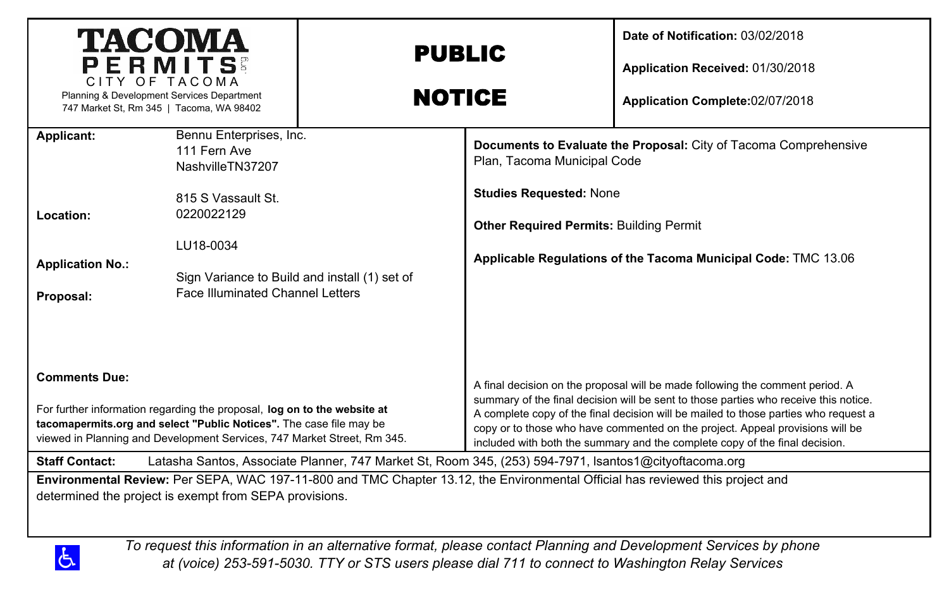| <b>TACOMA</b><br>PERMITS                                                                                                                                                                                                                           |                                                                                                       | <b>PUBLIC</b>                                                                                         |                                                                                                                                                                                                                                                                                                                                                                                                                              | Date of Notification: 03/02/2018<br>Application Received: 01/30/2018                                                                                                                                                 |  |  |
|----------------------------------------------------------------------------------------------------------------------------------------------------------------------------------------------------------------------------------------------------|-------------------------------------------------------------------------------------------------------|-------------------------------------------------------------------------------------------------------|------------------------------------------------------------------------------------------------------------------------------------------------------------------------------------------------------------------------------------------------------------------------------------------------------------------------------------------------------------------------------------------------------------------------------|----------------------------------------------------------------------------------------------------------------------------------------------------------------------------------------------------------------------|--|--|
| CITY OF TACOMA<br>Planning & Development Services Department<br>747 Market St, Rm 345   Tacoma, WA 98402                                                                                                                                           |                                                                                                       | <b>NOTICE</b>                                                                                         |                                                                                                                                                                                                                                                                                                                                                                                                                              | Application Complete:02/07/2018                                                                                                                                                                                      |  |  |
| Applicant:                                                                                                                                                                                                                                         | Bennu Enterprises, Inc.<br>111 Fern Ave<br>NashvilleTN37207                                           |                                                                                                       | Plan, Tacoma Municipal Code                                                                                                                                                                                                                                                                                                                                                                                                  | Documents to Evaluate the Proposal: City of Tacoma Comprehensive                                                                                                                                                     |  |  |
|                                                                                                                                                                                                                                                    | 815 S Vassault St.                                                                                    |                                                                                                       | <b>Studies Requested: None</b>                                                                                                                                                                                                                                                                                                                                                                                               |                                                                                                                                                                                                                      |  |  |
| Location:                                                                                                                                                                                                                                          | 0220022129                                                                                            |                                                                                                       | <b>Other Required Permits: Building Permit</b>                                                                                                                                                                                                                                                                                                                                                                               | Applicable Regulations of the Tacoma Municipal Code: TMC 13.06                                                                                                                                                       |  |  |
| <b>Application No.:</b><br>Proposal:                                                                                                                                                                                                               | LU18-0034<br>Sign Variance to Build and install (1) set of<br><b>Face Illuminated Channel Letters</b> |                                                                                                       |                                                                                                                                                                                                                                                                                                                                                                                                                              |                                                                                                                                                                                                                      |  |  |
| <b>Comments Due:</b><br>For further information regarding the proposal, log on to the website at<br>tacomapermits.org and select "Public Notices". The case file may be<br>viewed in Planning and Development Services, 747 Market Street, Rm 345. |                                                                                                       |                                                                                                       | A final decision on the proposal will be made following the comment period. A<br>summary of the final decision will be sent to those parties who receive this notice.<br>A complete copy of the final decision will be mailed to those parties who request a<br>copy or to those who have commented on the project. Appeal provisions will be<br>included with both the summary and the complete copy of the final decision. |                                                                                                                                                                                                                      |  |  |
| <b>Staff Contact:</b>                                                                                                                                                                                                                              |                                                                                                       | Latasha Santos, Associate Planner, 747 Market St, Room 345, (253) 594-7971, Isantos1@cityoftacoma.org |                                                                                                                                                                                                                                                                                                                                                                                                                              |                                                                                                                                                                                                                      |  |  |
| Environmental Review: Per SEPA, WAC 197-11-800 and TMC Chapter 13.12, the Environmental Official has reviewed this project and<br>determined the project is exempt from SEPA provisions.                                                           |                                                                                                       |                                                                                                       |                                                                                                                                                                                                                                                                                                                                                                                                                              |                                                                                                                                                                                                                      |  |  |
| රු                                                                                                                                                                                                                                                 |                                                                                                       |                                                                                                       |                                                                                                                                                                                                                                                                                                                                                                                                                              | To request this information in an alternative format, please contact Planning and Development Services by phone<br>at (voice) 253-591-5030. TTY or STS users please dial 711 to connect to Washington Relay Services |  |  |

*at (voice) 253-591-5030. TTY or STS users please dial 711 to connect to Washington Relay Services*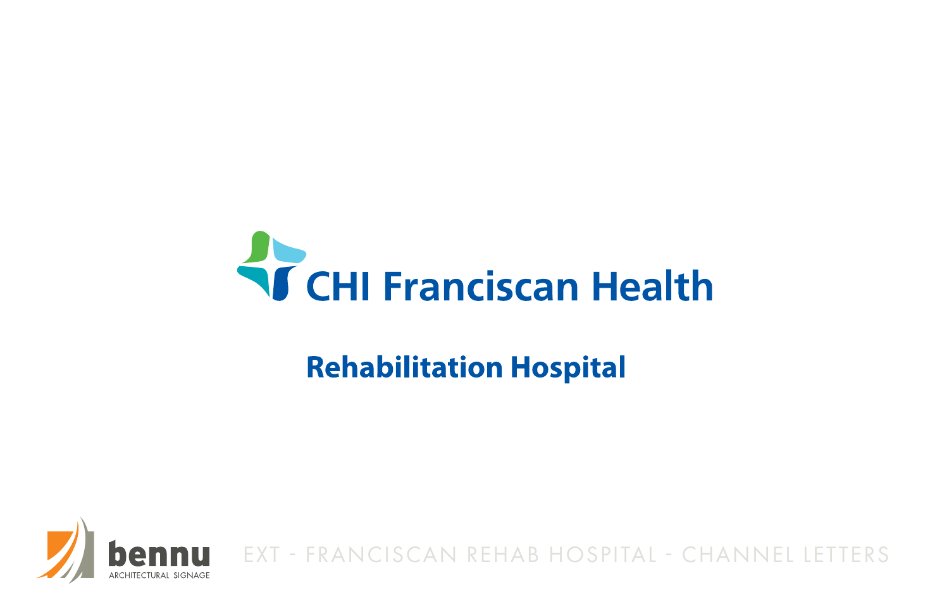# **Kritike Health**

# **Rehabilitation Hospital**



EXT - FRANCISCAN REHAB HOSPITAL - CHANNEL LETTERS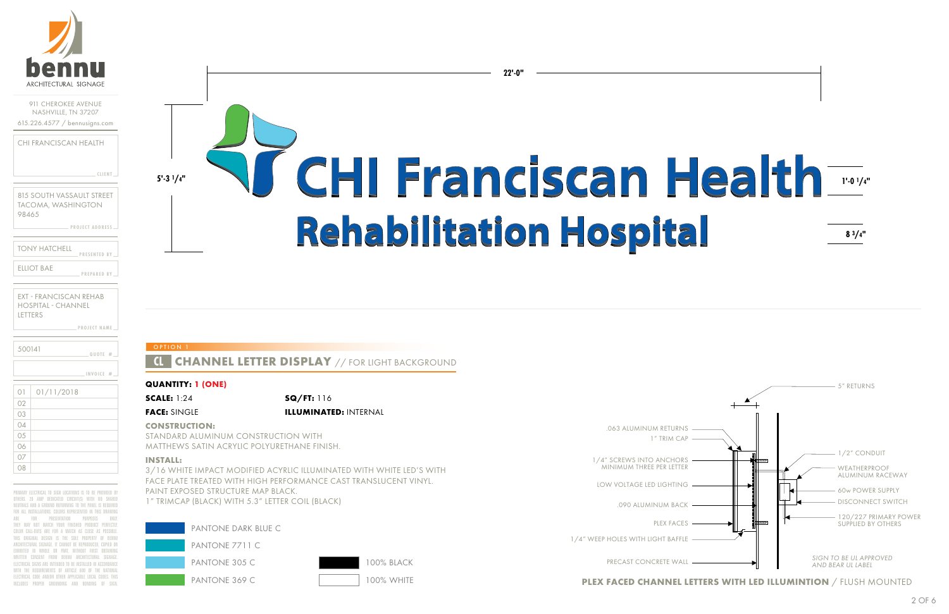

| <b>CLIENT</b> |  |  |  |  |
|---------------|--|--|--|--|
|---------------|--|--|--|--|

**PROJECT ADDRESS**

**PROJECT NAME**

815 SOUTH VASSAULT STREET TACOMA, WASHINGTON 98465

| TONY HATCHELL | <b>PRESENTED BY</b> |  |
|---------------|---------------------|--|
| FILIOT BAF    | <b>PREPARED BY</b>  |  |

| 500141 | 1000E# |
|--------|--------|
|        |        |

| EXT - FRANCISCAN REHAB    |
|---------------------------|
| <b>HOSPITAL - CHANNEL</b> |
| LETTERS                   |

| O <sub>1</sub> | 01/11/2018 |
|----------------|------------|
| 02             |            |
| 03             |            |
| 04             |            |
| 05             |            |
| 06             |            |
| 07             |            |
| 08             |            |

PRIMARY ELECTRICAL TO SIGN LOCATIONS IS TO BE PROVIDED BY OTHERS. 20 AMP DEDICATED CIRCUIT(S) WITH NO SHARED NEUTRALS AND A GROUND RUTURNING TO THE PANEL IS REQUIRED FOR ALL INSTALLATIONS. COLORS REPRESENTED IN THIS DRAWING ARE FOR PRESENTATION PURPOSES ONLY THEY MAY NOT MATCH YOUR FINISHED PRODUCT PERFECTLY. COLOR CALL-OUTS ARE FOR A MATCH AS CLOSE AS POSSIBLE. THIS ORIGINAL DESIGN IS THE SOLE PROPERTY OF BENN ARCHITECTURAL SIGNAGE. IT CANNOT BE REPRODUCED, COPIED OR EXHIBITED IN WHOLE OR PART, WITHOUT FIRST OBTAINING WRITTEN CONSENT FROM BENNU ARCHITECTURAL SIGNAGE ELECTRICAL SIGNS ARE INTENDED TO BE INSTALLED IN ACCORDANCI WITH THE REQUIREMENTS OF ARTICLE 600 OF THE NATIONAL ELECTRICAL CODE AND/OR OTHER APPLICABLE LOCAL CODES. THIS INCLUDES PROPER GROUNDING AND BONDING OF SIGN.

# 5-31/4" **NGHI Franciscan Health** Indy-Rehabilitation Hospital

**INVOICE #**

| PANTONE DARK BLUE C |  |
|---------------------|--|
| PANTONE 7711 C      |  |
| PANTONE 30.5 C      |  |
| PANTONE 369 C       |  |

#### **QUANTITY: 1 (ONE)**

**SCALE:** 1:24 **SQ/FT:** 116 **FACE:** SINGLE **ILLUMINATED:** INTERNAL

#### **CONSTRUCTION:**

STANDARD ALUMINUM CONSTRUCTION WITH MATTHEWS SATIN ACRYLIC POLYURETHANE FINISH.

### **INSTALL:**

3/16 WHITE IMPACT MODIFIED ACYRLIC ILLUMINATED WITH WHITE LED'S WITH FACE PLATE TREATED WITH HIGH PERFORMANCE CAST TRANSLUCENT VINYL. PAINT EXPOSED STRUCTURE MAP BLACK. 1" TRIMCAP (BLACK) WITH 5.3" LETTER COIL (BLACK)

100% WHITE

100% BLACK



1" TRIM CAP .063 ALUMINUM RETURNS

**PLEX FACED CHANNEL LETTERS WITH LED ILLUMINTION** / FLUSH MOUNTED

1/4" SCREWS INTO ANCHORS MINIMUM THREE PER LETTER

LOW VOLTAGE LED LIGHTING

.090 ALUMINUM BACK

PLEX FACES

1/4" WEEP HOLES WITH LIGHT BAFFLE

PRECAST CONCRETE WALL

**22'-0"**

### **OPTION**

### **CHANNEL LETTER DISPLAY // FOR LIGHT BACKGROUND**

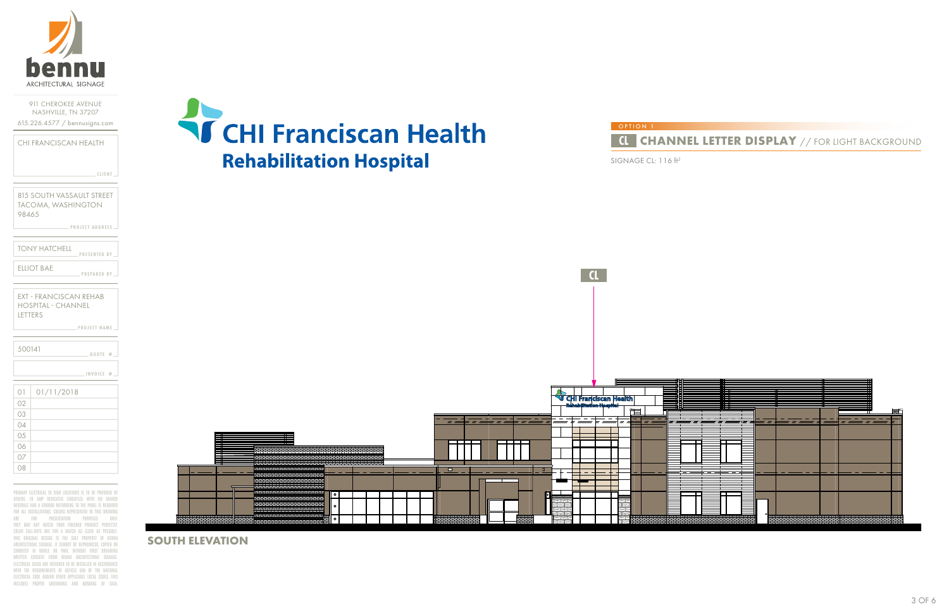

**CLIENT**

**PROJECT ADDRESS**

**PROJECT NAME**

815 SOUTH VASSAULT STREET TACOMA, WASHINGTON 98465

**PRESENTED BY PREPARED BY** TONY HATCHELL ELLIOT BAE

EXT - FRANCISCAN REHAB HOSPITAL - CHANNEL LETTERS

| 02              |  |
|-----------------|--|
| 03              |  |
| 04              |  |
| $\overline{05}$ |  |
| 06              |  |
| 07              |  |
| 08              |  |

**QUOTE #** 01 01/11/2018 500141 **INVOICE #**

PRIMARY ELECTRICAL TO SIGN LOCATIONS IS TO BE PROVIDED BY OTHERS. 20 AMP DEDICATED CIRCUIT(S) WITH NO SHARED NEUTRALS AND A GROUND RUTURNING TO THE PANEL IS REQUIRED FOR ALL INSTALLATIONS. COLORS REPRESENTED IN THIS DRAWING ARE FOR PRESENTATION PURPOSES ONLY. THEY MAY NOT MATCH YOUR FINISHED PRODUCT PERFECTLY. COLOR CALL-OUTS ARE FOR A MATCH AS CLOSE AS POSSIBLE. THIS ORIGINAL DESIGN IS THE SOLE PROPERTY OF BENNU ARCHITECTURAL SIGNAGE. IT CANNOT BE REPRODUCED, COPIED OR EXHIBITED IN WHOLE OR PART, WITHOUT FIRST OBTAINING WRITTEN CONSENT FROM BENNU ARCHITECTURAL SIGNAGE. ELECTRICAL SIGNS ARE INTENDED TO BE INSTALLED IN ACCORDANCE WITH THE REQUIREMENTS OF ARTICLE 600 OF THE NATIONAL ELECTRICAL CODE AND/OR OTHER APPLICABLE LOCAL CODES. THIS INCLUDES PROPER GROUNDING AND BONDING OF SIGN.



**SOUTH ELEVATION**



SIGNAGE CL: 116 ft2

## **CL CHANNEL LETTER DISPLAY** // FOR LIGHT BACKGROUND

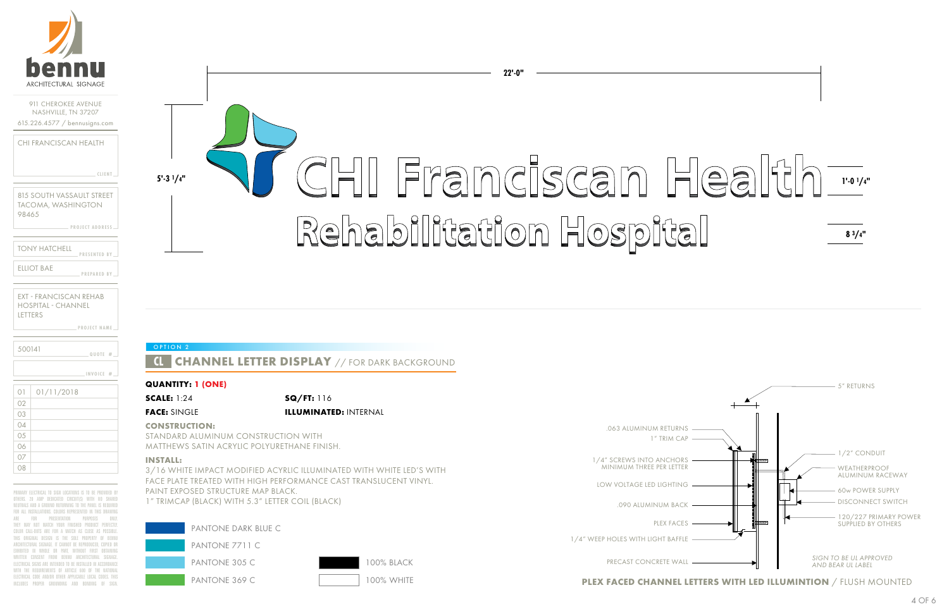

|  | – CLIENT |
|--|----------|
|  |          |

**PROJECT ADDRESS**

**PROJECT NAME**

815 SOUTH VASSAULT STREET TACOMA, WASHINGTON 98465

| TONY HATCHELL | <b>PRESENTED BY</b> |  |
|---------------|---------------------|--|
| FILIOT BAF    | <b>PREPARED BY</b>  |  |

| 500141 | $10U$ OTE $#$ |
|--------|---------------|
|        |               |

| EXT - FRANCISCAN REHAB |
|------------------------|
| HOSPITAL - CHANNEL     |
| LETTERS                |

| O <sub>1</sub> | 01/11/2018 |
|----------------|------------|
| 02             |            |
| 03             |            |
| 04             |            |
| 05             |            |
| 06             |            |
| 07             |            |
| 08             |            |

PRIMARY ELECTRICAL TO SIGN LOCATIONS IS TO BE PROVIDED BY OTHERS. 20 AMP DEDICATED CIRCUIT(S) WITH NO SHARED NEUTRALS AND A GROUND RUTURNING TO THE PANEL IS REQUIRE FOR ALL INSTALLATIONS. COLORS REPRESENTED IN THIS DRAWING ARE FOR PRESENTATION PURPOSES ONL THEY MAY NOT MATCH YOUR FINISHED PRODUCT PERFECTL COLOR CALL-OUTS ARE FOR A MATCH AS CLOSE AS POSSIBLE. THIS ORIGINAL DESIGN IS THE SOLE PROPERTY OF BENN ARCHITECTURAL SIGNAGE. IT CANNOT BE REPRODUCED, COPIED OR EXHIBITED IN WHOLE OR PART, WITHOUT FIRST OBTAININ WRITTEN CONSENT FROM RENNU ARCHITECTURAL SIGNAGI ELECTRICAL SIGNS ARE INTENDED TO BE INSTALLED IN ACCORDANCI WITH THE REQUIREMENTS OF ARTICLE 600 OF THE NATIONAL ELECTRICAL CODE AND/OR OTHER APPLICABLE LOCAL CODES. THIS INCLUDES PROPER GROUNDING AND BONDING OF SIGN.

# **5'-3 1/4" 1'-0 1/4"** Rehabilitation Hospital

**INVOICE #**

#### **QUANTITY: 1 (ONE)**

**SCALE:** 1:24 **SQ/FT:** 116 **FACE:** SINGLE **ILLUMINATED:** INTERNAL

#### **CONSTRUCTION:**

STANDARD ALUMINUM CONSTRUCTION WITH MATTHEWS SATIN ACRYLIC POLYURETHANE FINISH.

#### **INSTALL:**

**OPTION** 

| PANTONE DARK BLUE C |                   |
|---------------------|-------------------|
| PANTONE 7711 C      |                   |
| PANTONE 305 C       | <b>100% BLACK</b> |
| PANTONE 369 C       | 100% WHITE        |

3/16 WHITE IMPACT MODIFIED ACYRLIC ILLUMINATED WITH WHITE LED'S WITH FACE PLATE TREATED WITH HIGH PERFORMANCE CAST TRANSLUCENT VINYL. PAINT EXPOSED STRUCTURE MAP BLACK. 1" TRIMCAP (BLACK) WITH 5.3" LETTER COIL (BLACK)

1" TRIM CAP



**PLEX FACED CHANNEL LETTERS WITH LED ILLUMINTION** / FLUSH MOUNTED

1/4" SCREWS INTO ANCHORS MINIMUM THREE PER LETTER

LOW VOLTAGE LED LIGHTING

- .090 ALUMINUM BACK
	- PLEX FACES
- 1/4" WEEP HOLES WITH LIGHT BAFFLE

PRECAST CONCRETE WALL

.063 ALUMINUM RETURNS

**22'-0"**

# **CHANNEL LETTER DISPLAY** // FOR DARK BACKGROUND

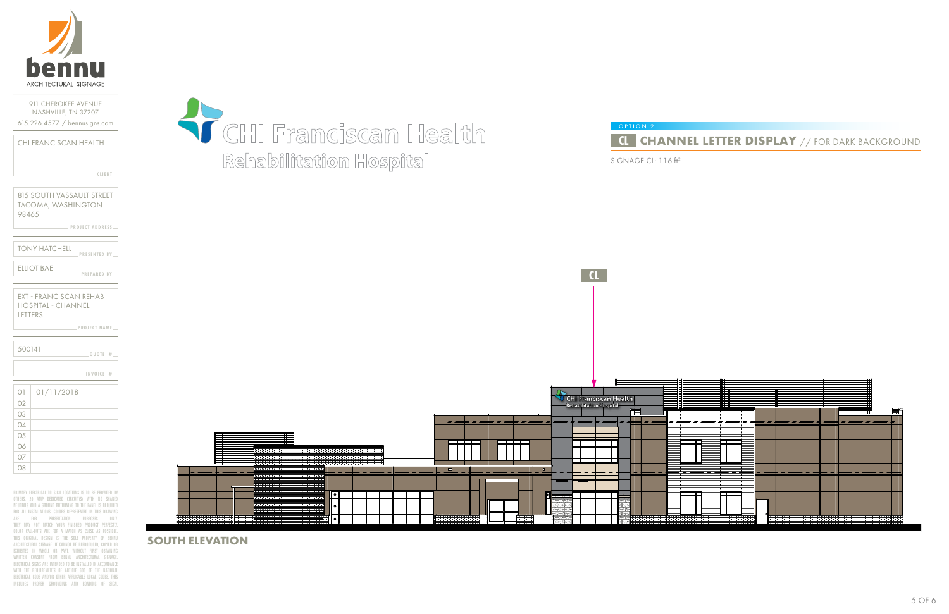

**PROJECT ADDRESS**

**PROJECT NAME**

| CHI FRANCISCAN HEALTH |  |               |  |
|-----------------------|--|---------------|--|
|                       |  |               |  |
|                       |  |               |  |
|                       |  | <b>CLIENT</b> |  |

815 SOUTH VASSAULT STREET TACOMA, WASHINGTON 98465

| <b>TONY HATCHELL</b> | <b>PRESENTED BY</b> |  |
|----------------------|---------------------|--|
| FILIOT BAF           | <b>PREPARED BY</b>  |  |

EXT - FRANCISCAN REHAB HOSPITAL - CHANNEL LETTERS

| 03 |  |  |  |
|----|--|--|--|
| 04 |  |  |  |
| 05 |  |  |  |
| 06 |  |  |  |
| 07 |  |  |  |
| 08 |  |  |  |

| 500141 |            | QUOTE $#$ $-$ |  |
|--------|------------|---------------|--|
|        |            | INVOICE #     |  |
| 01     | 01/11/2018 |               |  |
|        |            |               |  |

PRIMARY ELECTRICAL TO SIGN LOCATIONS IS TO BE PROVIDED BY OTHERS. 20 AMP DEDICATED CIRCUIT(S) WITH NO SHARED NEUTRALS AND A GROUND RUTURNING TO THE PANEL IS REQUIRED FOR ALL INSTALLATIONS. COLORS REPRESENTED IN THIS DRAWING ARE FOR PRESENTATION PURPOSES ONLY. THEY MAY NOT MATCH YOUR FINISHED PRODUCT PERFECTLY. COLOR CALL-OUTS ARE FOR A MATCH AS CLOSE AS POSSIBLE. THIS ORIGINAL DESIGN IS THE SOLE PROPERTY OF BENNU ARCHITECTURAL SIGNAGE. IT CANNOT BE REPRODUCED, COPIED OR EXHIBITED IN WHOLE OR PART, WITHOUT FIRST OBTAINING WRITTEN CONSENT FROM BENNU ARCHITECTURAL SIGNAGE. ELECTRICAL SIGNS ARE INTENDED TO BE INSTALLED IN ACCORDANCE WITH THE REQUIREMENTS OF ARTICLE 600 OF THE NATIONAL ELECTRICAL CODE AND/OR OTHER APPLICABLE LOCAL CODES. THIS INCLUDES PROPER GROUNDING AND BONDING OF SIGN.



**SOUTH ELEVATION**



SIGNAGE CL: 116 ft2

# **CL CHANNEL LETTER DISPLAY** // FOR DARK BACKGROUND

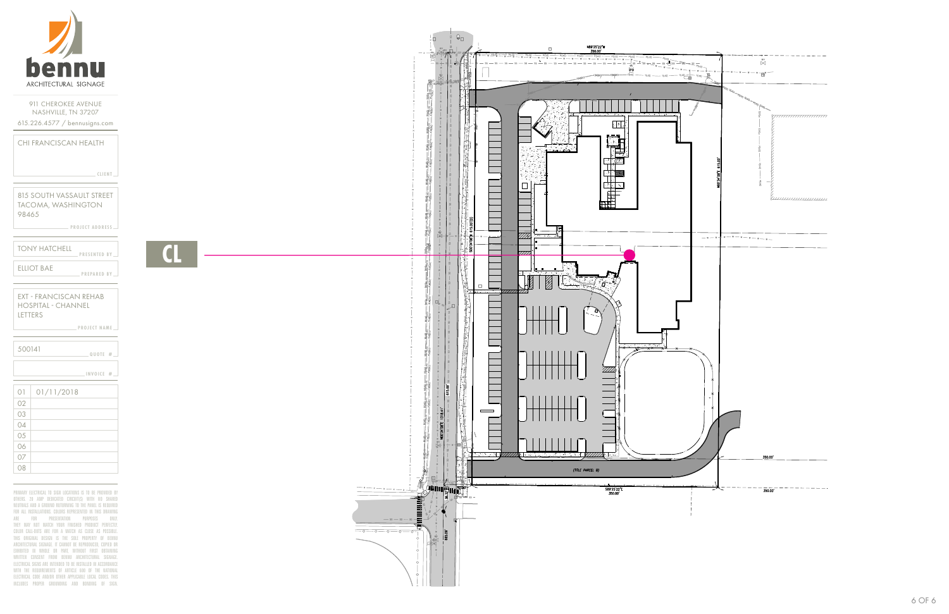

**CLIENT**

**PROJECT ADDRESS**

**PROJECT NAME**

| CHI FRANCISCAN HEALTH |  |
|-----------------------|--|
|                       |  |

815 SOUTH VASSAULT STREET TACOMA, WASHINGTON 98465

| <b>TONY HATCHELL</b> | <b>PRESENTED BY</b> |  |
|----------------------|---------------------|--|
| FILIOT BAF           | <b>PREPARED BY</b>  |  |

EXT - FRANCISCAN REHAB HOSPITAL - CHANNEL LETTERS

05 06 07 08

| 500141         |            | $.$ QUOTE $#$ $-$ |  |
|----------------|------------|-------------------|--|
|                |            | INVOICE #         |  |
| O <sub>1</sub> | 01/11/2018 |                   |  |
| 02             |            |                   |  |
| 03             |            |                   |  |
|                |            |                   |  |

PRIMARY ELECTRICAL TO SIGN LOCATIONS IS TO BE PROVIDED BY OTHERS. 20 AMP DEDICATED CIRCUIT(S) WITH NO SHARED NEUTRALS AND A GROUND RUTURNING TO THE PANEL IS REQUIRED FOR ALL INSTALLATIONS. COLORS REPRESENTED IN THIS DRAWING ARE FOR PRESENTATION PURPOSES ONLY. THEY MAY NOT MATCH YOUR FINISHED PRODUCT PERFECTLY. COLOR CALL-OUTS ARE FOR A MATCH AS CLOSE AS POSSIBLE. THIS ORIGINAL DESIGN IS THE SOLE PROPERTY OF BENNU ARCHITECTURAL SIGNAGE. IT CANNOT BE REPRODUCED, COPIED OR EXHIBITED IN WHOLE OR PART, WITHOUT FIRST OBTAINING WRITTEN CONSENT FROM BENNU ARCHITECTURAL SIGNAGE. ELECTRICAL SIGNS ARE INTENDED TO BE INSTALLED IN ACCORDANCE WITH THE REQUIREMENTS OF ARTICLE 600 OF THE NATIONAL ELECTRICAL CODE AND/OR OTHER APPLICABLE LOCAL CODES. THIS INCLUDES PROPER GROUNDING AND BONDING OF SIGN.